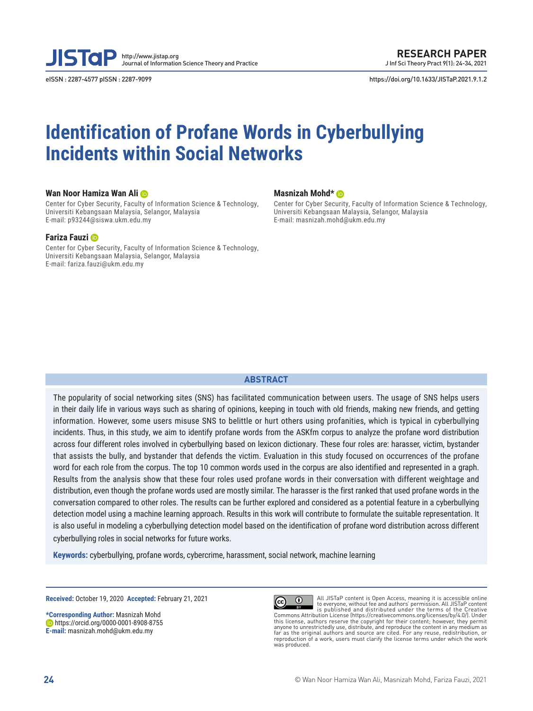

eISSN : 2287-4577 pISSN : 2287-9099 https://doi.org/10.1633/JISTaP.2021.9.1.2

# **Identification of Profane Words in Cyberbullying Incidents within Social Networks**

#### **Wan Noor Hamiza Wan Ali**

Center for Cyber Security, Faculty of Information Science & Technology, Universiti Kebangsaan Malaysia, Selangor, Malaysia E-mail: p93244@siswa.ukm.edu.my

#### **Fariza Fauzi**

Center for Cyber Security, Faculty of Information Science & Technology, Universiti Kebangsaan Malaysia, Selangor, Malaysia E-mail: fariza.fauzi@ukm.edu.my

#### **Masnizah Mohd\***

Center for Cyber Security, Faculty of Information Science & Technology, Universiti Kebangsaan Malaysia, Selangor, Malaysia E-mail: masnizah.mohd@ukm.edu.my

#### **ABSTRACT**

The popularity of social networking sites (SNS) has facilitated communication between users. The usage of SNS helps users in their daily life in various ways such as sharing of opinions, keeping in touch with old friends, making new friends, and getting information. However, some users misuse SNS to belittle or hurt others using profanities, which is typical in cyberbullying incidents. Thus, in this study, we aim to identify profane words from the ASKfm corpus to analyze the profane word distribution across four different roles involved in cyberbullying based on lexicon dictionary. These four roles are: harasser, victim, bystander that assists the bully, and bystander that defends the victim. Evaluation in this study focused on occurrences of the profane word for each role from the corpus. The top 10 common words used in the corpus are also identified and represented in a graph. Results from the analysis show that these four roles used profane words in their conversation with different weightage and distribution, even though the profane words used are mostly similar. The harasser is the first ranked that used profane words in the conversation compared to other roles. The results can be further explored and considered as a potential feature in a cyberbullying detection model using a machine learning approach. Results in this work will contribute to formulate the suitable representation. It is also useful in modeling a cyberbullying detection model based on the identification of profane word distribution across different cyberbullying roles in social networks for future works.

**Keywords:** cyberbullying, profane words, cybercrime, harassment, social network, machine learning

**Received:** October 19, 2020 **Accepted:** February 21, 2021

**\*Corresponding Author:** Masnizah Mohd **https://orcid.org/0000-0001-8908-8755 E-mail:** masnizah.mohd@ukm.edu.my



All JISTaP content is Open Access, meaning it is accessible online to everyone, without fee and authors' permission. All JISTaP content is published and distributed under the terms of the Creative Commons Attribution License (https://creativecommons.org/licenses/by/4.0/). Under this license, authors reserve the copyright for their content; however, they permit<br>anyone to unrestrictedly use, distribute, and reproduce the content in any medium as<br>far as the original authors and source are cited. For reproduction of a work, users must clarify the license terms under which the work was produced.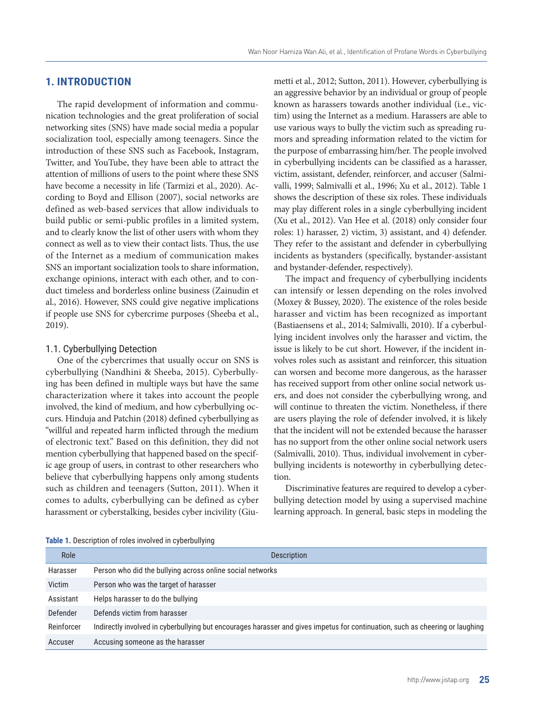# **1. INTRODUCTION**

The rapid development of information and communication technologies and the great proliferation of social networking sites (SNS) have made social media a popular socialization tool, especially among teenagers. Since the introduction of these SNS such as Facebook, Instagram, Twitter, and YouTube, they have been able to attract the attention of millions of users to the point where these SNS have become a necessity in life (Tarmizi et al., 2020). According to Boyd and Ellison (2007), social networks are defined as web-based services that allow individuals to build public or semi-public profiles in a limited system, and to clearly know the list of other users with whom they connect as well as to view their contact lists. Thus, the use of the Internet as a medium of communication makes SNS an important socialization tools to share information, exchange opinions, interact with each other, and to conduct timeless and borderless online business (Zainudin et al., 2016). However, SNS could give negative implications if people use SNS for cybercrime purposes (Sheeba et al., 2019).

#### 1.1. Cyberbullying Detection

One of the cybercrimes that usually occur on SNS is cyberbullying (Nandhini & Sheeba, 2015). Cyberbullying has been defined in multiple ways but have the same characterization where it takes into account the people involved, the kind of medium, and how cyberbullying occurs. Hinduja and Patchin (2018) defined cyberbullying as "willful and repeated harm inflicted through the medium of electronic text." Based on this definition, they did not mention cyberbullying that happened based on the specific age group of users, in contrast to other researchers who believe that cyberbullying happens only among students such as children and teenagers (Sutton, 2011). When it comes to adults, cyberbullying can be defined as cyber harassment or cyberstalking, besides cyber incivility (Giumetti et al., 2012; Sutton, 2011). However, cyberbullying is an aggressive behavior by an individual or group of people known as harassers towards another individual (i.e., victim) using the Internet as a medium. Harassers are able to use various ways to bully the victim such as spreading rumors and spreading information related to the victim for the purpose of embarrassing him/her. The people involved in cyberbullying incidents can be classified as a harasser, victim, assistant, defender, reinforcer, and accuser (Salmivalli, 1999; Salmivalli et al., 1996; Xu et al., 2012). Table 1 shows the description of these six roles. These individuals may play different roles in a single cyberbullying incident (Xu et al., 2012). Van Hee et al. (2018) only consider four roles: 1) harasser, 2) victim, 3) assistant, and 4) defender. They refer to the assistant and defender in cyberbullying incidents as bystanders (specifically, bystander-assistant and bystander-defender, respectively).

The impact and frequency of cyberbullying incidents can intensify or lessen depending on the roles involved (Moxey & Bussey, 2020). The existence of the roles beside harasser and victim has been recognized as important (Bastiaensens et al., 2014; Salmivalli, 2010). If a cyberbullying incident involves only the harasser and victim, the issue is likely to be cut short. However, if the incident involves roles such as assistant and reinforcer, this situation can worsen and become more dangerous, as the harasser has received support from other online social network users, and does not consider the cyberbullying wrong, and will continue to threaten the victim. Nonetheless, if there are users playing the role of defender involved, it is likely that the incident will not be extended because the harasser has no support from the other online social network users (Salmivalli, 2010). Thus, individual involvement in cyberbullying incidents is noteworthy in cyberbullying detection.

Discriminative features are required to develop a cyberbullying detection model by using a supervised machine learning approach. In general, basic steps in modeling the

**Table 1.** Description of roles involved in cyberbullying

| Role       | <b>Description</b>                                                                                                            |
|------------|-------------------------------------------------------------------------------------------------------------------------------|
| Harasser   | Person who did the bullying across online social networks                                                                     |
| Victim     | Person who was the target of harasser                                                                                         |
| Assistant  | Helps harasser to do the bullying                                                                                             |
| Defender   | Defends victim from harasser                                                                                                  |
| Reinforcer | Indirectly involved in cyberbullying but encourages harasser and gives impetus for continuation, such as cheering or laughing |
| Accuser    | Accusing someone as the harasser                                                                                              |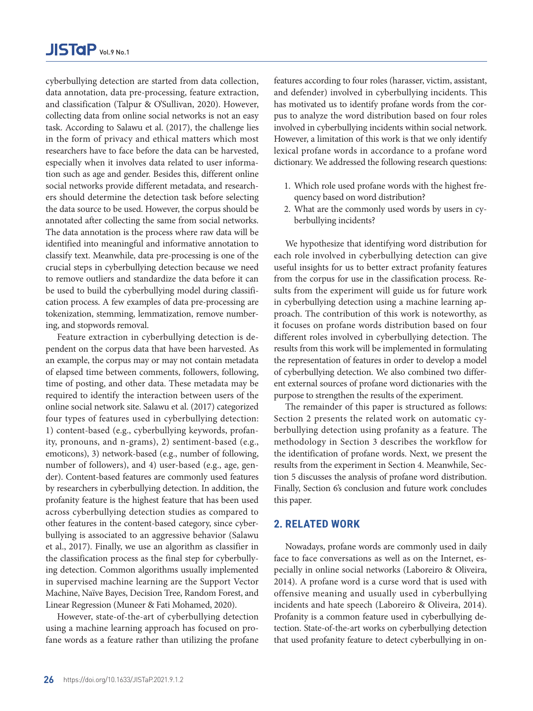cyberbullying detection are started from data collection, data annotation, data pre-processing, feature extraction, and classification (Talpur & O'Sullivan, 2020). However, collecting data from online social networks is not an easy task. According to Salawu et al. (2017), the challenge lies in the form of privacy and ethical matters which most researchers have to face before the data can be harvested, especially when it involves data related to user information such as age and gender. Besides this, different online social networks provide different metadata, and researchers should determine the detection task before selecting the data source to be used. However, the corpus should be annotated after collecting the same from social networks. The data annotation is the process where raw data will be identified into meaningful and informative annotation to classify text. Meanwhile, data pre-processing is one of the crucial steps in cyberbullying detection because we need to remove outliers and standardize the data before it can be used to build the cyberbullying model during classification process. A few examples of data pre-processing are tokenization, stemming, lemmatization, remove numbering, and stopwords removal.

Feature extraction in cyberbullying detection is dependent on the corpus data that have been harvested. As an example, the corpus may or may not contain metadata of elapsed time between comments, followers, following, time of posting, and other data. These metadata may be required to identify the interaction between users of the online social network site. Salawu et al. (2017) categorized four types of features used in cyberbullying detection: 1) content-based (e.g., cyberbullying keywords, profanity, pronouns, and n-grams), 2) sentiment-based (e.g., emoticons), 3) network-based (e.g., number of following, number of followers), and 4) user-based (e.g., age, gender). Content-based features are commonly used features by researchers in cyberbullying detection. In addition, the profanity feature is the highest feature that has been used across cyberbullying detection studies as compared to other features in the content-based category, since cyberbullying is associated to an aggressive behavior (Salawu et al., 2017). Finally, we use an algorithm as classifier in the classification process as the final step for cyberbullying detection. Common algorithms usually implemented in supervised machine learning are the Support Vector Machine, Naïve Bayes, Decision Tree, Random Forest, and Linear Regression (Muneer & Fati Mohamed, 2020).

However, state-of-the-art of cyberbullying detection using a machine learning approach has focused on profane words as a feature rather than utilizing the profane features according to four roles (harasser, victim, assistant, and defender) involved in cyberbullying incidents. This has motivated us to identify profane words from the corpus to analyze the word distribution based on four roles involved in cyberbullying incidents within social network. However, a limitation of this work is that we only identify lexical profane words in accordance to a profane word dictionary. We addressed the following research questions:

- 1. Which role used profane words with the highest frequency based on word distribution?
- 2. What are the commonly used words by users in cyberbullying incidents?

We hypothesize that identifying word distribution for each role involved in cyberbullying detection can give useful insights for us to better extract profanity features from the corpus for use in the classification process. Results from the experiment will guide us for future work in cyberbullying detection using a machine learning approach. The contribution of this work is noteworthy, as it focuses on profane words distribution based on four different roles involved in cyberbullying detection. The results from this work will be implemented in formulating the representation of features in order to develop a model of cyberbullying detection. We also combined two different external sources of profane word dictionaries with the purpose to strengthen the results of the experiment.

The remainder of this paper is structured as follows: Section 2 presents the related work on automatic cyberbullying detection using profanity as a feature. The methodology in Section 3 describes the workflow for the identification of profane words. Next, we present the results from the experiment in Section 4. Meanwhile, Section 5 discusses the analysis of profane word distribution. Finally, Section 6's conclusion and future work concludes this paper.

# **2. RELATED WORK**

Nowadays, profane words are commonly used in daily face to face conversations as well as on the Internet, especially in online social networks (Laboreiro & Oliveira, 2014). A profane word is a curse word that is used with offensive meaning and usually used in cyberbullying incidents and hate speech (Laboreiro & Oliveira, 2014). Profanity is a common feature used in cyberbullying detection. State-of-the-art works on cyberbullying detection that used profanity feature to detect cyberbullying in on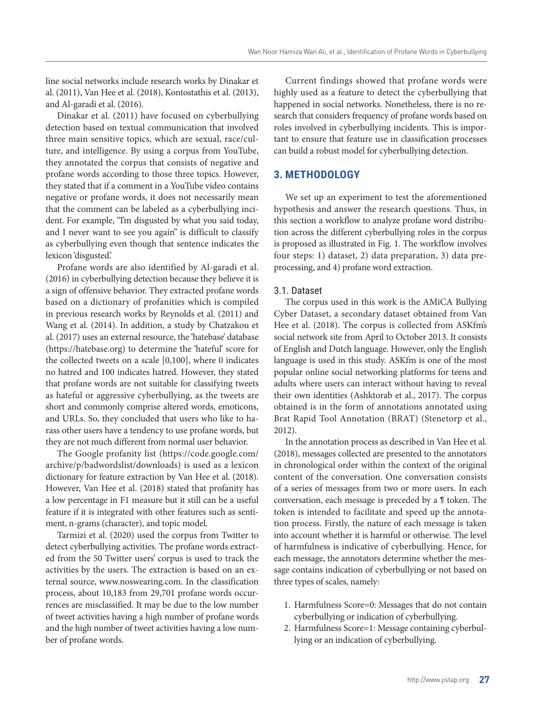line social networks include research works by Dinakar et al. (2011), Van Hee et al. (2018), Kontostathis et al. (2013), and Al-garadi et al. (2016).

Dinakar et al. (2011) have focused on cyberbullying detection based on textual communication that involved three main sensitive topics, which are sexual, race/culture, and intelligence. By using a corpus from YouTube, they annotated the corpus that consists of negative and profane words according to those three topics. However, they stated that if a comment in a YouTube video contains negative or profane words, it does not necessarily mean that the comment can be labeled as a cyberbullying incident. For example, "I'm disgusted by what you said today, and I never want to see you again" is difficult to classify as cyberbullying even though that sentence indicates the lexicon 'disgusted.'

Profane words are also identified by Al-garadi et al. (2016) in cyberbullying detection because they believe it is a sign of offensive behavior. They extracted profane words based on a dictionary of profanities which is compiled in previous research works by Reynolds et al. (2011) and Wang et al. (2014). In addition, a study by Chatzakou et al. (2017) uses an external resource, the 'hatebase' database (https://hatebase.org) to determine the 'hateful' score for the collected tweets on a scale [0,100], where 0 indicates no hatred and 100 indicates hatred. However, they stated that profane words are not suitable for classifying tweets as hateful or aggressive cyberbullying, as the tweets are short and commonly comprise altered words, emoticons, and URLs. So, they concluded that users who like to harass other users have a tendency to use profane words, but they are not much different from normal user behavior.

The Google profanity list (https://code.google.com/ archive/p/badwordslist/downloads) is used as a lexicon dictionary for feature extraction by Van Hee et al. (2018). However, Van Hee et al. (2018) stated that profanity has a low percentage in F1 measure but it still can be a useful feature if it is integrated with other features such as sentiment, n-grams (character), and topic model.

Tarmizi et al. (2020) used the corpus from Twitter to detect cyberbullying activities. The profane words extracted from the 50 Twitter users' corpus is used to track the activities by the users. The extraction is based on an external source, www.noswearing.com. In the classification process, about 10,183 from 29,701 profane words occurrences are misclassified. It may be due to the low number of tweet activities having a high number of profane words and the high number of tweet activities having a low number of profane words.

Current findings showed that profane words were highly used as a feature to detect the cyberbullying that happened in social networks. Nonetheless, there is no research that considers frequency of profane words based on roles involved in cyberbullying incidents. This is important to ensure that feature use in classification processes can build a robust model for cyberbullying detection.

# **3. METHODOLOGY**

We set up an experiment to test the aforementioned hypothesis and answer the research questions. Thus, in this section a workflow to analyze profane word distribution across the different cyberbullying roles in the corpus is proposed as illustrated in Fig. 1. The workflow involves four steps: 1) dataset, 2) data preparation, 3) data preprocessing, and 4) profane word extraction.

#### 3.1. Dataset

The corpus used in this work is the AMiCA Bullying Cyber Dataset, a secondary dataset obtained from Van Hee et al. (2018). The corpus is collected from ASKfm's social network site from April to October 2013. It consists of English and Dutch language. However, only the English language is used in this study. ASKfm is one of the most popular online social networking platforms for teens and adults where users can interact without having to reveal their own identities (Ashktorab et al., 2017). The corpus obtained is in the form of annotations annotated using Brat Rapid Tool Annotation (BRAT) (Stenetorp et al., 2012).

In the annotation process as described in Van Hee et al. (2018), messages collected are presented to the annotators in chronological order within the context of the original content of the conversation. One conversation consists of a series of messages from two or more users. In each conversation, each message is preceded by a ¶ token. The token is intended to facilitate and speed up the annotation process. Firstly, the nature of each message is taken into account whether it is harmful or otherwise. The level of harmfulness is indicative of cyberbullying. Hence, for each message, the annotators determine whether the message contains indication of cyberbullying or not based on three types of scales, namely:

- 1. Harmfulness Score=0: Messages that do not contain cyberbullying or indication of cyberbullying.
- 2. Harmfulness Score=1: Message containing cyberbullying or an indication of cyberbullying.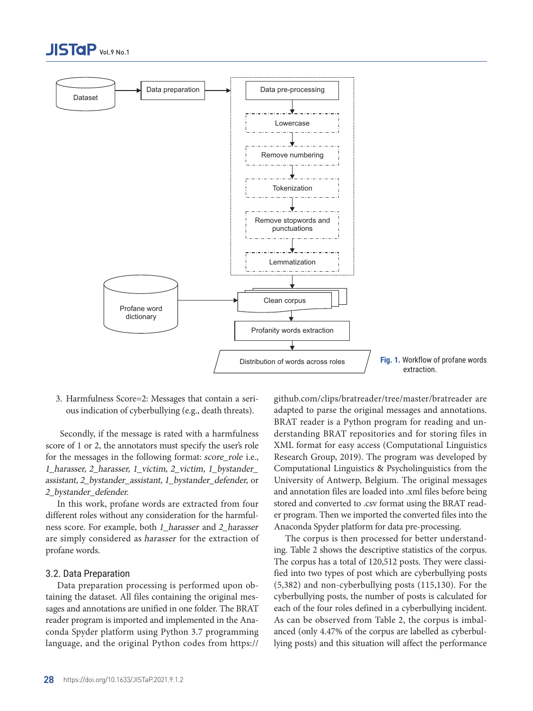



3. Harmfulness Score=2: Messages that contain a serious indication of cyberbullying (e.g., death threats).

 Secondly, if the message is rated with a harmfulness score of 1 or 2, the annotators must specify the user's role for the messages in the following format: score\_role i.e., 1\_harasser, 2\_harasser, 1\_victim, 2\_victim, 1\_bystander\_ assistant, 2\_bystander\_assistant, 1\_bystander\_defender, or 2\_bystander\_defender.

In this work, profane words are extracted from four different roles without any consideration for the harmfulness score. For example, both 1\_harasser and 2\_harasser are simply considered as harasser for the extraction of profane words.

#### 3.2. Data Preparation

Data preparation processing is performed upon obtaining the dataset. All files containing the original messages and annotations are unified in one folder. The BRAT reader program is imported and implemented in the Anaconda Spyder platform using Python 3.7 programming language, and the original Python codes from https://

github.com/clips/bratreader/tree/master/bratreader are adapted to parse the original messages and annotations. BRAT reader is a Python program for reading and understanding BRAT repositories and for storing files in XML format for easy access (Computational Linguistics Research Group, 2019). The program was developed by Computational Linguistics & Psycholinguistics from the University of Antwerp, Belgium. The original messages and annotation files are loaded into .xml files before being stored and converted to .csv format using the BRAT reader program. Then we imported the converted files into the Anaconda Spyder platform for data pre-processing.

The corpus is then processed for better understanding. Table 2 shows the descriptive statistics of the corpus. The corpus has a total of 120,512 posts. They were classified into two types of post which are cyberbullying posts (5,382) and non-cyberbullying posts (115,130). For the cyberbullying posts, the number of posts is calculated for each of the four roles defined in a cyberbullying incident. As can be observed from Table 2, the corpus is imbalanced (only 4.47% of the corpus are labelled as cyberbullying posts) and this situation will affect the performance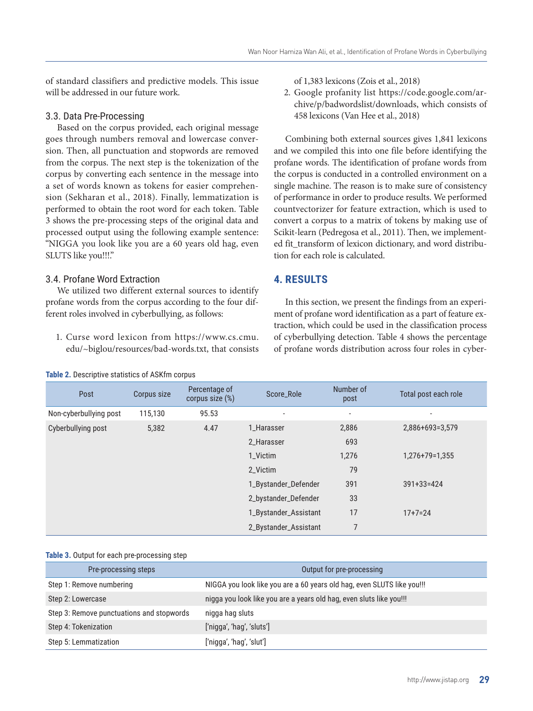of standard classifiers and predictive models. This issue will be addressed in our future work.

#### 3.3. Data Pre-Processing

Based on the corpus provided, each original message goes through numbers removal and lowercase conversion. Then, all punctuation and stopwords are removed from the corpus. The next step is the tokenization of the corpus by converting each sentence in the message into a set of words known as tokens for easier comprehension (Sekharan et al., 2018). Finally, lemmatization is performed to obtain the root word for each token. Table 3 shows the pre-processing steps of the original data and processed output using the following example sentence: "NIGGA you look like you are a 60 years old hag, even SLUTS like you!!!."

# 3.4. Profane Word Extraction

We utilized two different external sources to identify profane words from the corpus according to the four different roles involved in cyberbullying, as follows:

1. Curse word lexicon from https://www.cs.cmu. edu/~biglou/resources/bad-words.txt, that consists

#### **Table 2.** Descriptive statistics of ASKfm corpus

of 1,383 lexicons (Zois et al., 2018)

2. Google profanity list https://code.google.com/archive/p/badwordslist/downloads, which consists of 458 lexicons (Van Hee et al., 2018)

Combining both external sources gives 1,841 lexicons and we compiled this into one file before identifying the profane words. The identification of profane words from the corpus is conducted in a controlled environment on a single machine. The reason is to make sure of consistency of performance in order to produce results. We performed countvectorizer for feature extraction, which is used to convert a corpus to a matrix of tokens by making use of Scikit-learn (Pedregosa et al., 2011). Then, we implemented fit transform of lexicon dictionary, and word distribution for each role is calculated.

# **4. RESULTS**

In this section, we present the findings from an experiment of profane word identification as a part of feature extraction, which could be used in the classification process of cyberbullying detection. Table 4 shows the percentage of profane words distribution across four roles in cyber-

| Post                   | Corpus size | Percentage of<br>corpus size $(\%)$ | Score_Role               | Number of<br>post        | Total post each role |
|------------------------|-------------|-------------------------------------|--------------------------|--------------------------|----------------------|
| Non-cyberbullying post | 115,130     | 95.53                               | $\overline{\phantom{a}}$ | $\overline{\phantom{a}}$ |                      |
| Cyberbullying post     | 5,382       | 4.47                                | 1_Harasser               | 2,886                    | $2,886+693=3,579$    |
|                        |             |                                     | 2_Harasser               | 693                      |                      |
|                        |             |                                     | 1 Victim                 | 1,276                    | $1,276+79=1,355$     |
|                        |             |                                     | 2 Victim                 | 79                       |                      |
|                        |             |                                     | 1_Bystander_Defender     | 391                      | $391 + 33 = 424$     |
|                        |             |                                     | 2_bystander_Defender     | 33                       |                      |
|                        |             |                                     | 1_Bystander_Assistant    | 17                       | $17 + 7 = 24$        |
|                        |             |                                     | 2_Bystander_Assistant    | $\overline{7}$           |                      |

#### **Table 3.** Output for each pre-processing step

| Pre-processing steps                      | Output for pre-processing                                              |
|-------------------------------------------|------------------------------------------------------------------------|
| Step 1: Remove numbering                  | NIGGA you look like you are a 60 years old hag, even SLUTS like you!!! |
| Step 2: Lowercase                         | nigga you look like you are a years old hag, even sluts like you!!!    |
| Step 3: Remove punctuations and stopwords | nigga hag sluts                                                        |
| Step 4: Tokenization                      | ['nigga', 'hag', 'sluts']                                              |
| Step 5: Lemmatization                     | ['nigga', 'hag', 'slut']                                               |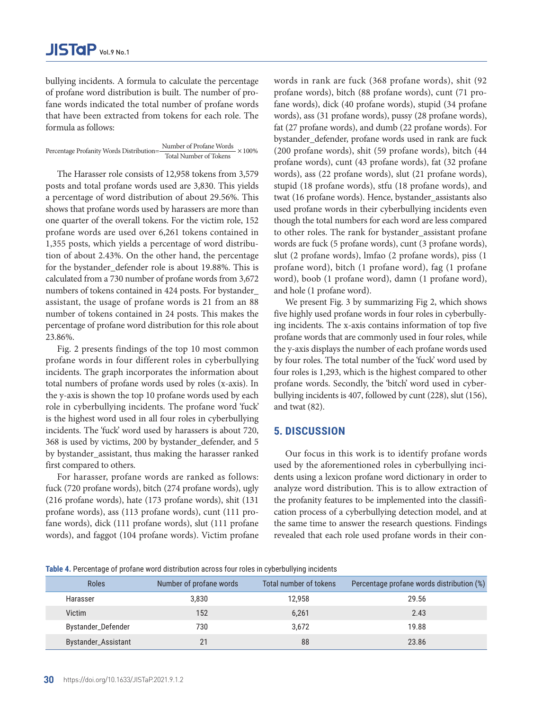bullying incidents. A formula to calculate the percentage of profane word distribution is built. The number of profane words indicated the total number of profane words that have been extracted from tokens for each role. The formula as follows:

Percentage Profanity Words Distribution= $\frac{\text{Number of Profane Words}}{\text{Total Number of Tokens}} \times 100\%$ 

The Harasser role consists of 12,958 tokens from 3,579 posts and total profane words used are 3,830. This yields a percentage of word distribution of about 29.56%. This shows that profane words used by harassers are more than one quarter of the overall tokens. For the victim role, 152 profane words are used over 6,261 tokens contained in 1,355 posts, which yields a percentage of word distribution of about 2.43%. On the other hand, the percentage for the bystander defender role is about 19.88%. This is calculated from a 730 number of profane words from 3,672 numbers of tokens contained in 424 posts. For bystander\_ assistant, the usage of profane words is 21 from an 88 number of tokens contained in 24 posts. This makes the percentage of profane word distribution for this role about 23.86%.

Fig. 2 presents findings of the top 10 most common profane words in four different roles in cyberbullying incidents. The graph incorporates the information about total numbers of profane words used by roles (x-axis). In the y-axis is shown the top 10 profane words used by each role in cyberbullying incidents. The profane word 'fuck' is the highest word used in all four roles in cyberbullying incidents. The 'fuck' word used by harassers is about 720, 368 is used by victims, 200 by bystander\_defender, and 5 by bystander\_assistant, thus making the harasser ranked first compared to others.

For harasser, profane words are ranked as follows: fuck (720 profane words), bitch (274 profane words), ugly (216 profane words), hate (173 profane words), shit (131 profane words), ass (113 profane words), cunt (111 profane words), dick (111 profane words), slut (111 profane words), and faggot (104 profane words). Victim profane words in rank are fuck (368 profane words), shit (92 profane words), bitch (88 profane words), cunt (71 profane words), dick (40 profane words), stupid (34 profane words), ass (31 profane words), pussy (28 profane words), fat (27 profane words), and dumb (22 profane words). For bystander defender, profane words used in rank are fuck (200 profane words), shit (59 profane words), bitch (44 profane words), cunt (43 profane words), fat (32 profane words), ass (22 profane words), slut (21 profane words), stupid (18 profane words), stfu (18 profane words), and twat (16 profane words). Hence, bystander\_assistants also used profane words in their cyberbullying incidents even though the total numbers for each word are less compared to other roles. The rank for bystander\_assistant profane words are fuck (5 profane words), cunt (3 profane words), slut (2 profane words), lmfao (2 profane words), piss (1 profane word), bitch (1 profane word), fag (1 profane word), boob (1 profane word), damn (1 profane word), and hole (1 profane word).

We present Fig. 3 by summarizing Fig 2, which shows five highly used profane words in four roles in cyberbullying incidents. The x-axis contains information of top five profane words that are commonly used in four roles, while the y-axis displays the number of each profane words used by four roles. The total number of the 'fuck' word used by four roles is 1,293, which is the highest compared to other profane words. Secondly, the 'bitch' word used in cyberbullying incidents is 407, followed by cunt (228), slut (156), and twat (82).

# **5. DISCUSSION**

Our focus in this work is to identify profane words used by the aforementioned roles in cyberbullying incidents using a lexicon profane word dictionary in order to analyze word distribution. This is to allow extraction of the profanity features to be implemented into the classification process of a cyberbullying detection model, and at the same time to answer the research questions. Findings revealed that each role used profane words in their con-

| Table 4. Percentage of profane word distribution across four roles in cyberbullying incidents |  |  |  |
|-----------------------------------------------------------------------------------------------|--|--|--|
|                                                                                               |  |  |  |

| <b>Roles</b>        | Number of profane words | Total number of tokens | Percentage profane words distribution (%) |
|---------------------|-------------------------|------------------------|-------------------------------------------|
| Harasser            | 3,830                   | 12,958                 | 29.56                                     |
| Victim              | 152                     | 6,261                  | 2.43                                      |
| Bystander_Defender  | 730                     | 3,672                  | 19.88                                     |
| Bystander_Assistant |                         | 88                     | 23.86                                     |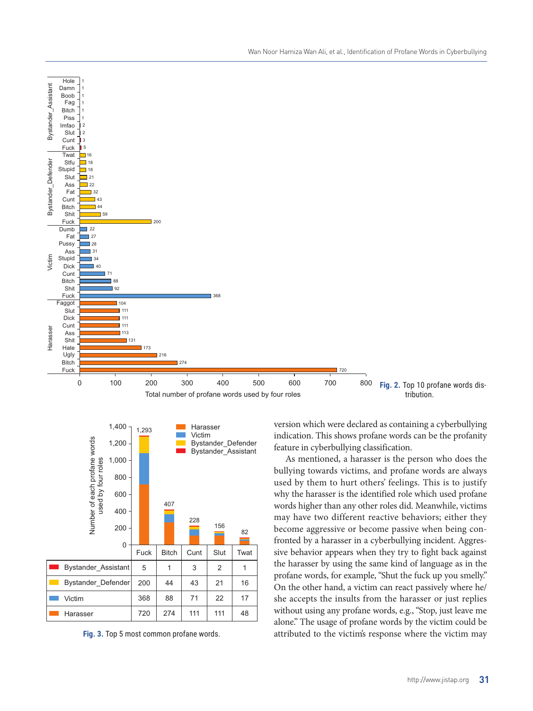



71 111

22 111 17 48

100 200 300 400 500 600 700

Total number of profane words used by four roles

368

**Fig. 3.** Top 5 most common profane words.

88 274

368 720

0

Victim Harasser

Shit Fuck Faggot Slut Dick **Cunt** Ass Shit Hate Ugly Bitch Fuck

l as

 $111$ 

173 216

<sup>274</sup>

Bystander\_Assistant

Bystander

Assistant

Bystander\_Defender

Bystander Defender

Victim

Harasser

Harasser

version which were declared as containing a cyberbullying indication. This shows profane words can be the profanity feature in cyberbullying classification.

Fig. 2. Top 10 profane words distribution.

800

720

As mentioned, a harasser is the person who does the bullying towards victims, and profane words are always used by them to hurt others' feelings. This is to justify why the harasser is the identified role which used profane words higher than any other roles did. Meanwhile, victims may have two different reactive behaviors; either they become aggressive or become passive when being confronted by a harasser in a cyberbullying incident. Aggressive behavior appears when they try to fight back against the harasser by using the same kind of language as in the profane words, for example, "Shut the fuck up you smelly." On the other hand, a victim can react passively where he/ she accepts the insults from the harasser or just replies without using any profane words, e.g., "Stop, just leave me alone." The usage of profane words by the victim could be attributed to the victim's response where the victim may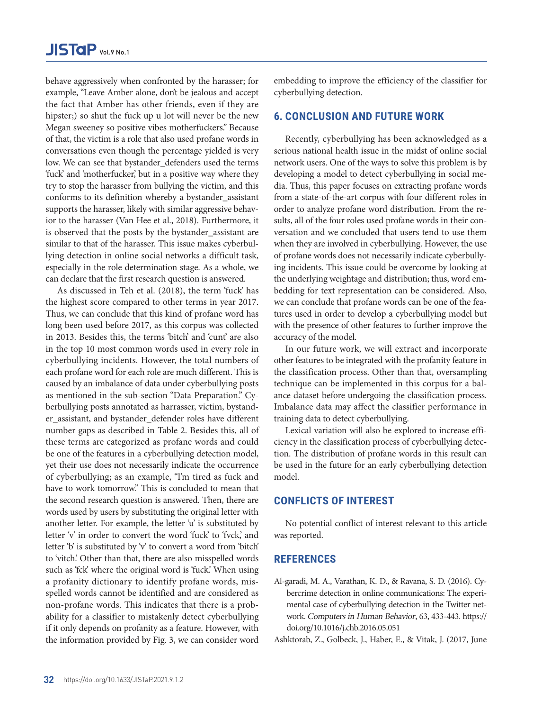behave aggressively when confronted by the harasser; for example, "Leave Amber alone, don't be jealous and accept the fact that Amber has other friends, even if they are hipster;) so shut the fuck up u lot will never be the new Megan sweeney so positive vibes motherfuckers." Because of that, the victim is a role that also used profane words in conversations even though the percentage yielded is very low. We can see that bystander\_defenders used the terms 'fuck' and 'motherfucker,' but in a positive way where they try to stop the harasser from bullying the victim, and this conforms to its definition whereby a bystander\_assistant supports the harasser, likely with similar aggressive behavior to the harasser (Van Hee et al., 2018). Furthermore, it is observed that the posts by the bystander\_assistant are similar to that of the harasser. This issue makes cyberbullying detection in online social networks a difficult task, especially in the role determination stage. As a whole, we can declare that the first research question is answered.

As discussed in Teh et al. (2018), the term 'fuck' has the highest score compared to other terms in year 2017. Thus, we can conclude that this kind of profane word has long been used before 2017, as this corpus was collected in 2013. Besides this, the terms 'bitch' and 'cunt' are also in the top 10 most common words used in every role in cyberbullying incidents. However, the total numbers of each profane word for each role are much different. This is caused by an imbalance of data under cyberbullying posts as mentioned in the sub-section "Data Preparation." Cyberbullying posts annotated as harrasser, victim, bystander\_assistant, and bystander\_defender roles have different number gaps as described in Table 2. Besides this, all of these terms are categorized as profane words and could be one of the features in a cyberbullying detection model, yet their use does not necessarily indicate the occurrence of cyberbullying; as an example, "I'm tired as fuck and have to work tomorrow." This is concluded to mean that the second research question is answered. Then, there are words used by users by substituting the original letter with another letter. For example, the letter 'u' is substituted by letter 'v' in order to convert the word 'fuck' to 'fvck,' and letter 'b' is substituted by 'v' to convert a word from 'bitch' to 'vitch.' Other than that, there are also misspelled words such as 'fck' where the original word is 'fuck.' When using a profanity dictionary to identify profane words, misspelled words cannot be identified and are considered as non-profane words. This indicates that there is a probability for a classifier to mistakenly detect cyberbullying if it only depends on profanity as a feature. However, with the information provided by Fig. 3, we can consider word

embedding to improve the efficiency of the classifier for cyberbullying detection.

#### **6. CONCLUSION AND FUTURE WORK**

Recently, cyberbullying has been acknowledged as a serious national health issue in the midst of online social network users. One of the ways to solve this problem is by developing a model to detect cyberbullying in social media. Thus, this paper focuses on extracting profane words from a state-of-the-art corpus with four different roles in order to analyze profane word distribution. From the results, all of the four roles used profane words in their conversation and we concluded that users tend to use them when they are involved in cyberbullying. However, the use of profane words does not necessarily indicate cyberbullying incidents. This issue could be overcome by looking at the underlying weightage and distribution; thus, word embedding for text representation can be considered. Also, we can conclude that profane words can be one of the features used in order to develop a cyberbullying model but with the presence of other features to further improve the accuracy of the model.

In our future work, we will extract and incorporate other features to be integrated with the profanity feature in the classification process. Other than that, oversampling technique can be implemented in this corpus for a balance dataset before undergoing the classification process. Imbalance data may affect the classifier performance in training data to detect cyberbullying.

Lexical variation will also be explored to increase efficiency in the classification process of cyberbullying detection. The distribution of profane words in this result can be used in the future for an early cyberbullying detection model.

# **CONFLICTS OF INTEREST**

No potential conflict of interest relevant to this article was reported.

# **REFERENCES**

Al-garadi, M. A., Varathan, K. D., & Ravana, S. D. (2016). Cybercrime detection in online communications: The experimental case of cyberbullying detection in the Twitter network. Computers in Human Behavior, 63, 433-443. [https://](https://doi.org/10.1016/j.chb.2016.05.051) [doi.org/10.1016/j.chb.2016.05.051](https://doi.org/10.1016/j.chb.2016.05.051)

Ashktorab, Z., Golbeck, J., Haber, E., & Vitak, J. (2017, June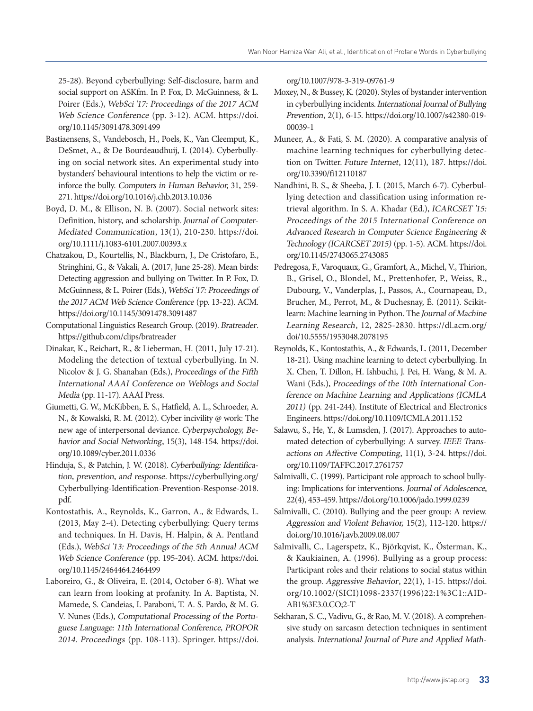25-28). Beyond cyberbullying: Self-disclosure, harm and social support on ASKfm. In P. Fox, D. McGuinness, & L. Poirer (Eds.), WebSci '17: Proceedings of the 2017 ACM Web Science Conference (pp. 3-12). ACM. [https://doi.](https://doi.org/10.1145/3091478.3091499) [org/10.1145/3091478.3091499](https://doi.org/10.1145/3091478.3091499)

- Bastiaensens, S., Vandebosch, H., Poels, K., Van Cleemput, K., DeSmet, A., & De Bourdeaudhuij, I. (2014). Cyberbullying on social network sites. An experimental study into bystanders' behavioural intentions to help the victim or reinforce the bully. Computers in Human Behavior, 31, 259- 271.<https://doi.org/10.1016/j.chb.2013.10.036>
- Boyd, D. M., & Ellison, N. B. (2007). Social network sites: Definition, history, and scholarship. Journal of Computer-Mediated Communication, 13(1), 210-230. [https://doi.](https://doi.org/10.1111/j.1083-6101.2007.00393.x) [org/10.1111/j.1083-6101.2007.00393.x](https://doi.org/10.1111/j.1083-6101.2007.00393.x)
- Chatzakou, D., Kourtellis, N., Blackburn, J., De Cristofaro, E., Stringhini, G., & Vakali, A. (2017, June 25-28). Mean birds: Detecting aggression and bullying on Twitter. In P. Fox, D. McGuinness, & L. Poirer (Eds.), WebSci '17: Proceedings of the 2017 ACM Web Science Conference (pp. 13-22). ACM. https://doi.org/10.1145/3091478.3091487
- Computational Linguistics Research Group. (2019). Bratreader. https://github.com/clips/bratreader
- Dinakar, K., Reichart, R., & Lieberman, H. (2011, July 17-21). Modeling the detection of textual cyberbullying. In N. Nicolov & J. G. Shanahan (Eds.), Proceedings of the Fifth International AAAI Conference on Weblogs and Social Media (pp. 11-17). AAAI Press.
- Giumetti, G. W., McKibben, E. S., Hatfield, A. L., Schroeder, A. N., & Kowalski, R. M. (2012). Cyber incivility @ work: The new age of interpersonal deviance. Cyberpsychology, Behavior and Social Networking, 15(3), 148-154. [https://doi.](https://doi.org/10.1089/cyber.2011.0336) [org/10.1089/cyber.2011.0336](https://doi.org/10.1089/cyber.2011.0336)
- Hinduja, S., & Patchin, J. W. (2018). Cyberbullying: Identification, prevention, and response. https://cyberbullying.org/ Cyberbullying-Identification-Prevention-Response-2018. pdf.
- Kontostathis, A., Reynolds, K., Garron, A., & Edwards, L. (2013, May 2-4). Detecting cyberbullying: Query terms and techniques. In H. Davis, H. Halpin, & A. Pentland (Eds.), WebSci '13: Proceedings of the 5th Annual ACM Web Science Conference (pp. 195-204). ACM. [https://doi.](https://doi.org/10.1145/2464464.2464499) [org/10.1145/2464464.2464499](https://doi.org/10.1145/2464464.2464499)
- Laboreiro, G., & Oliveira, E. (2014, October 6-8). What we can learn from looking at profanity. In A. Baptista, N. Mamede, S. Candeias, I. Paraboni, T. A. S. Pardo, & M. G. V. Nunes (Eds.), Computational Processing of the Portuguese Language: 11th International Conference, PROPOR 2014. Proceedings (pp. 108-113). Springer. [https://doi.](https://doi.org/10.1007/978-3-319-09761-9
)

[org/10.1007/978-3-319-09761-9](https://doi.org/10.1007/978-3-319-09761-9
)

- Moxey, N., & Bussey, K. (2020). Styles of bystander intervention in cyberbullying incidents. International Journal of Bullying Prevention, 2(1), 6-15. [https://doi.org/10.1007/s42380-019-](https://doi.org/10.1007/s42380-019-00039-1) [00039-1](https://doi.org/10.1007/s42380-019-00039-1)
- Muneer, A., & Fati, S. M. (2020). A comparative analysis of machine learning techniques for cyberbullying detection on Twitter. Future Internet, 12(11), 187. [https://doi.](https://doi.org/10.3390/fi12110187) [org/10.3390/fi12110187](https://doi.org/10.3390/fi12110187)
- Nandhini, B. S., & Sheeba, J. I. (2015, March 6-7). Cyberbullying detection and classification using information retrieval algorithm. In S. A. Khadar (Ed.), ICARCSET '15: Proceedings of the 2015 International Conference on Advanced Research in Computer Science Engineering & Technology (ICARCSET 2015) (pp. 1-5). ACM. [https://doi.](https://doi.org/10.1145/2743065.2743085) [org/10.1145/2743065.2743085](https://doi.org/10.1145/2743065.2743085)
- Pedregosa, F., Varoquaux, G., Gramfort, A., Michel, V., Thirion, B., Grisel, O., Blondel, M., Prettenhofer, P., Weiss, R., Dubourg, V., Vanderplas, J., Passos, A., Cournapeau, D., Brucher, M., Perrot, M., & Duchesnay, É. (2011). Scikitlearn: Machine learning in Python. The Journal of Machine Learning Research, 12, 2825-2830. [https://dl.acm.org/](https://dl.acm.org/doi/10.5555/1953048.2078195) [doi/10.5555/1953048.2078195](https://dl.acm.org/doi/10.5555/1953048.2078195)
- Reynolds, K., Kontostathis, A., & Edwards, L. (2011, December 18-21). Using machine learning to detect cyberbullying. In X. Chen, T. Dillon, H. Ishbuchi, J. Pei, H. Wang, & M. A. Wani (Eds.), Proceedings of the 10th International Conference on Machine Learning and Applications (ICMLA 2011) (pp. 241-244). Institute of Electrical and Electronics Engineers. https://doi.org/10.1109/ICMLA.2011.152
- Salawu, S., He, Y., & Lumsden, J. (2017). Approaches to automated detection of cyberbullying: A survey. IEEE Transactions on Affective Computing, 11(1), 3-24. [https://doi.](https://doi.org/10.1109/TAFFC.2017.2761757) [org/10.1109/TAFFC.2017.2761757](https://doi.org/10.1109/TAFFC.2017.2761757)
- Salmivalli, C. (1999). Participant role approach to school bullying: Implications for interventions. Journal of Adolescence, 22(4), 453-459. https://doi.org/10.1006/jado.1999.0239
- Salmivalli, C. (2010). Bullying and the peer group: A review. Aggression and Violent Behavior, 15(2), 112-120. [https://](https://doi.org/10.1016/j.avb.2009.08.007) [doi.org/10.1016/j.avb.2009.08.007](https://doi.org/10.1016/j.avb.2009.08.007)
- Salmivalli, C., Lagerspetz, K., Björkqvist, K., Österman, K., & Kaukiainen, A. (1996). Bullying as a group process: Participant roles and their relations to social status within the group. Aggressive Behavior, 22(1), 1-15. [https://doi.](https://doi.org/10.1002/(SICI)1098-2337(1996)22:1%3C1::AID-AB1%3E3.0.CO;2-T) [org/10.1002/\(SICI\)1098-2337\(1996\)22:1%3C1::AID-](https://doi.org/10.1002/(SICI)1098-2337(1996)22:1%3C1::AID-AB1%3E3.0.CO;2-T)[AB1%3E3.0.CO;2-T](https://doi.org/10.1002/(SICI)1098-2337(1996)22:1%3C1::AID-AB1%3E3.0.CO;2-T)
- Sekharan, S. C., Vadivu, G., & Rao, M. V. (2018). A comprehensive study on sarcasm detection techniques in sentiment analysis. International Journal of Pure and Applied Math-